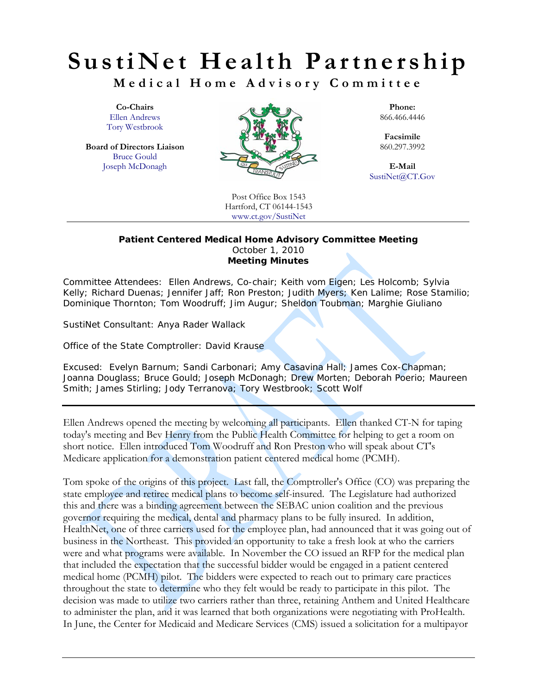**Medical Home Advisory Committee** 

Tory Westbrook

Bruce Gould



SustiNet@CT.Gov

Post Office Box 1543 Hartford, CT 06144-1543 www.ct.gov/SustiNet

#### **Patient Centered Medical Home Advisory Committee Meeting**  October 1, 2010 **Meeting Minutes**

Committee Attendees: *Ellen Andrews, Co-chair; Keith vom Eigen; Les Holcomb; Sylvia Kelly; Richard Duenas; Jennifer Jaff; Ron Preston; Judith Myers; Ken Lalime; Rose Stamilio; Dominique Thornton; Tom Woodruff; Jim Augur; Sheldon Toubman; Marghie Giuliano* 

SustiNet Consultant: *Anya Rader Wallack* 

Office of the State Comptroller: *David Krause* 

Excused: *Evelyn Barnum; Sandi Carbonari; Amy Casavina Hall; James Cox-Chapman; Joanna Douglass; Bruce Gould; Joseph McDonagh; Drew Morten; Deborah Poerio; Maureen Smith; James Stirling; Jody Terranova; Tory Westbrook; Scott Wolf* 

Ellen Andrews opened the meeting by welcoming all participants. Ellen thanked CT-N for taping today's meeting and Bev Henry from the Public Health Committee for helping to get a room on short notice. Ellen introduced Tom Woodruff and Ron Preston who will speak about CT's Medicare application for a demonstration patient centered medical home (PCMH).

Tom spoke of the origins of this project. Last fall, the Comptroller's Office (CO) was preparing the state employee and retiree medical plans to become self-insured. The Legislature had authorized this and there was a binding agreement between the SEBAC union coalition and the previous governor requiring the medical, dental and pharmacy plans to be fully insured. In addition, HealthNet, one of three carriers used for the employee plan, had announced that it was going out of business in the Northeast. This provided an opportunity to take a fresh look at who the carriers were and what programs were available. In November the CO issued an RFP for the medical plan that included the expectation that the successful bidder would be engaged in a patient centered medical home (PCMH) pilot. The bidders were expected to reach out to primary care practices throughout the state to determine who they felt would be ready to participate in this pilot. The decision was made to utilize two carriers rather than three, retaining Anthem and United Healthcare to administer the plan, and it was learned that both organizations were negotiating with ProHealth. In June, the Center for Medicaid and Medicare Services (CMS) issued a solicitation for a multipayor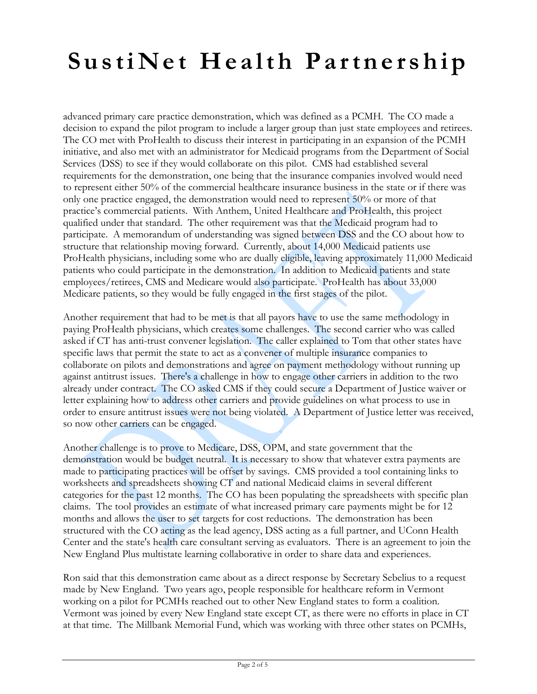advanced primary care practice demonstration, which was defined as a PCMH. The CO made a decision to expand the pilot program to include a larger group than just state employees and retirees. The CO met with ProHealth to discuss their interest in participating in an expansion of the PCMH initiative, and also met with an administrator for Medicaid programs from the Department of Social Services (DSS) to see if they would collaborate on this pilot. CMS had established several requirements for the demonstration, one being that the insurance companies involved would need to represent either 50% of the commercial healthcare insurance business in the state or if there was only one practice engaged, the demonstration would need to represent 50% or more of that practice's commercial patients. With Anthem, United Healthcare and ProHealth, this project qualified under that standard. The other requirement was that the Medicaid program had to participate. A memorandum of understanding was signed between DSS and the CO about how to structure that relationship moving forward. Currently, about 14,000 Medicaid patients use ProHealth physicians, including some who are dually eligible, leaving approximately 11,000 Medicaid patients who could participate in the demonstration. In addition to Medicaid patients and state employees/retirees, CMS and Medicare would also participate. ProHealth has about 33,000 Medicare patients, so they would be fully engaged in the first stages of the pilot.

Another requirement that had to be met is that all payors have to use the same methodology in paying ProHealth physicians, which creates some challenges. The second carrier who was called asked if CT has anti-trust convener legislation. The caller explained to Tom that other states have specific laws that permit the state to act as a convener of multiple insurance companies to collaborate on pilots and demonstrations and agree on payment methodology without running up against antitrust issues. There's a challenge in how to engage other carriers in addition to the two already under contract. The CO asked CMS if they could secure a Department of Justice waiver or letter explaining how to address other carriers and provide guidelines on what process to use in order to ensure antitrust issues were not being violated. A Department of Justice letter was received, so now other carriers can be engaged.

Another challenge is to prove to Medicare, DSS, OPM, and state government that the demonstration would be budget neutral. It is necessary to show that whatever extra payments are made to participating practices will be offset by savings. CMS provided a tool containing links to worksheets and spreadsheets showing CT and national Medicaid claims in several different categories for the past 12 months. The CO has been populating the spreadsheets with specific plan claims. The tool provides an estimate of what increased primary care payments might be for 12 months and allows the user to set targets for cost reductions. The demonstration has been structured with the CO acting as the lead agency, DSS acting as a full partner, and UConn Health Center and the state's health care consultant serving as evaluators. There is an agreement to join the New England Plus multistate learning collaborative in order to share data and experiences.

Ron said that this demonstration came about as a direct response by Secretary Sebelius to a request made by New England. Two years ago, people responsible for healthcare reform in Vermont working on a pilot for PCMHs reached out to other New England states to form a coalition. Vermont was joined by every New England state except CT, as there were no efforts in place in CT at that time. The Millbank Memorial Fund, which was working with three other states on PCMHs,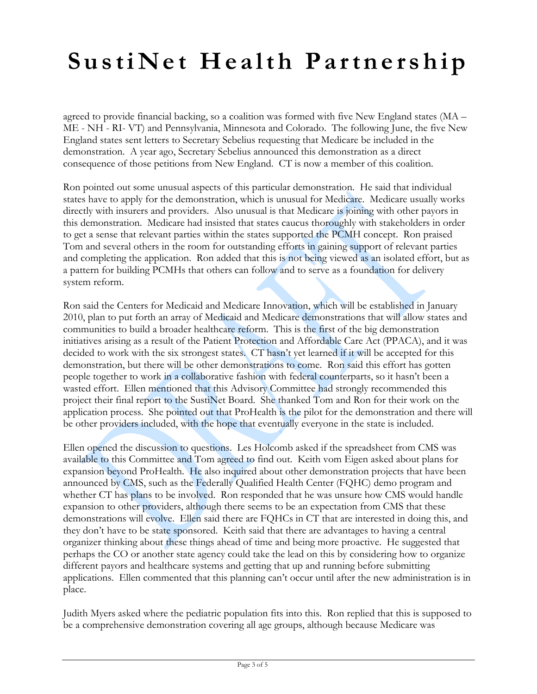agreed to provide financial backing, so a coalition was formed with five New England states (MA – ME - NH - RI- VT) and Pennsylvania, Minnesota and Colorado. The following June, the five New England states sent letters to Secretary Sebelius requesting that Medicare be included in the demonstration. A year ago, Secretary Sebelius announced this demonstration as a direct consequence of those petitions from New England. CT is now a member of this coalition.

Ron pointed out some unusual aspects of this particular demonstration. He said that individual states have to apply for the demonstration, which is unusual for Medicare. Medicare usually works directly with insurers and providers. Also unusual is that Medicare is joining with other payors in this demonstration. Medicare had insisted that states caucus thoroughly with stakeholders in order to get a sense that relevant parties within the states supported the PCMH concept. Ron praised Tom and several others in the room for outstanding efforts in gaining support of relevant parties and completing the application. Ron added that this is not being viewed as an isolated effort, but as a pattern for building PCMHs that others can follow and to serve as a foundation for delivery system reform.

Ron said the Centers for Medicaid and Medicare Innovation, which will be established in January 2010, plan to put forth an array of Medicaid and Medicare demonstrations that will allow states and communities to build a broader healthcare reform. This is the first of the big demonstration initiatives arising as a result of the Patient Protection and Affordable Care Act (PPACA), and it was decided to work with the six strongest states. CT hasn't yet learned if it will be accepted for this demonstration, but there will be other demonstrations to come. Ron said this effort has gotten people together to work in a collaborative fashion with federal counterparts, so it hasn't been a wasted effort. Ellen mentioned that this Advisory Committee had strongly recommended this project their final report to the SustiNet Board. She thanked Tom and Ron for their work on the application process. She pointed out that ProHealth is the pilot for the demonstration and there will be other providers included, with the hope that eventually everyone in the state is included.

Ellen opened the discussion to questions. Les Holcomb asked if the spreadsheet from CMS was available to this Committee and Tom agreed to find out. Keith vom Eigen asked about plans for expansion beyond ProHealth. He also inquired about other demonstration projects that have been announced by CMS, such as the Federally Qualified Health Center (FQHC) demo program and whether CT has plans to be involved. Ron responded that he was unsure how CMS would handle expansion to other providers, although there seems to be an expectation from CMS that these demonstrations will evolve. Ellen said there are FQHCs in CT that are interested in doing this, and they don't have to be state sponsored. Keith said that there are advantages to having a central organizer thinking about these things ahead of time and being more proactive. He suggested that perhaps the CO or another state agency could take the lead on this by considering how to organize different payors and healthcare systems and getting that up and running before submitting applications. Ellen commented that this planning can't occur until after the new administration is in place.

Judith Myers asked where the pediatric population fits into this. Ron replied that this is supposed to be a comprehensive demonstration covering all age groups, although because Medicare was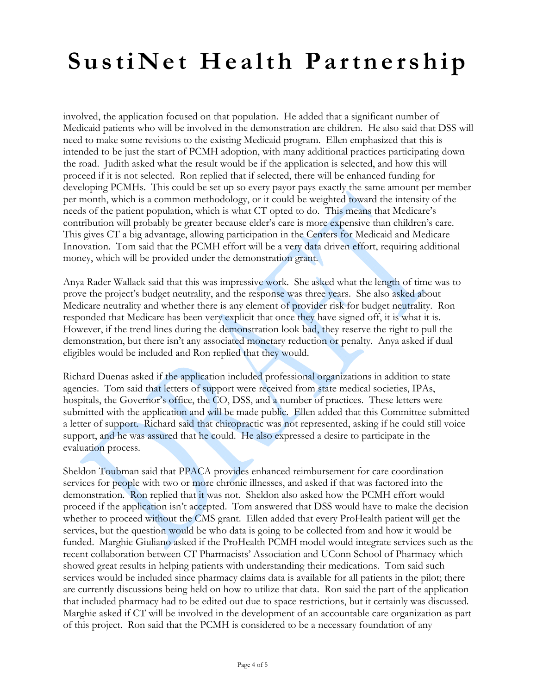involved, the application focused on that population. He added that a significant number of Medicaid patients who will be involved in the demonstration are children. He also said that DSS will need to make some revisions to the existing Medicaid program. Ellen emphasized that this is intended to be just the start of PCMH adoption, with many additional practices participating down the road. Judith asked what the result would be if the application is selected, and how this will proceed if it is not selected. Ron replied that if selected, there will be enhanced funding for developing PCMHs. This could be set up so every payor pays exactly the same amount per member per month, which is a common methodology, or it could be weighted toward the intensity of the needs of the patient population, which is what CT opted to do. This means that Medicare's contribution will probably be greater because elder's care is more expensive than children's care. This gives CT a big advantage, allowing participation in the Centers for Medicaid and Medicare Innovation. Tom said that the PCMH effort will be a very data driven effort, requiring additional money, which will be provided under the demonstration grant.

Anya Rader Wallack said that this was impressive work. She asked what the length of time was to prove the project's budget neutrality, and the response was three years. She also asked about Medicare neutrality and whether there is any element of provider risk for budget neutrality. Ron responded that Medicare has been very explicit that once they have signed off, it is what it is. However, if the trend lines during the demonstration look bad, they reserve the right to pull the demonstration, but there isn't any associated monetary reduction or penalty. Anya asked if dual eligibles would be included and Ron replied that they would.

Richard Duenas asked if the application included professional organizations in addition to state agencies. Tom said that letters of support were received from state medical societies, IPAs, hospitals, the Governor's office, the CO, DSS, and a number of practices. These letters were submitted with the application and will be made public. Ellen added that this Committee submitted a letter of support. Richard said that chiropractic was not represented, asking if he could still voice support, and he was assured that he could. He also expressed a desire to participate in the evaluation process.

Sheldon Toubman said that PPACA provides enhanced reimbursement for care coordination services for people with two or more chronic illnesses, and asked if that was factored into the demonstration. Ron replied that it was not. Sheldon also asked how the PCMH effort would proceed if the application isn't accepted. Tom answered that DSS would have to make the decision whether to proceed without the CMS grant. Ellen added that every ProHealth patient will get the services, but the question would be who data is going to be collected from and how it would be funded. Marghie Giuliano asked if the ProHealth PCMH model would integrate services such as the recent collaboration between CT Pharmacists' Association and UConn School of Pharmacy which showed great results in helping patients with understanding their medications. Tom said such services would be included since pharmacy claims data is available for all patients in the pilot; there are currently discussions being held on how to utilize that data. Ron said the part of the application that included pharmacy had to be edited out due to space restrictions, but it certainly was discussed. Marghie asked if CT will be involved in the development of an accountable care organization as part of this project. Ron said that the PCMH is considered to be a necessary foundation of any